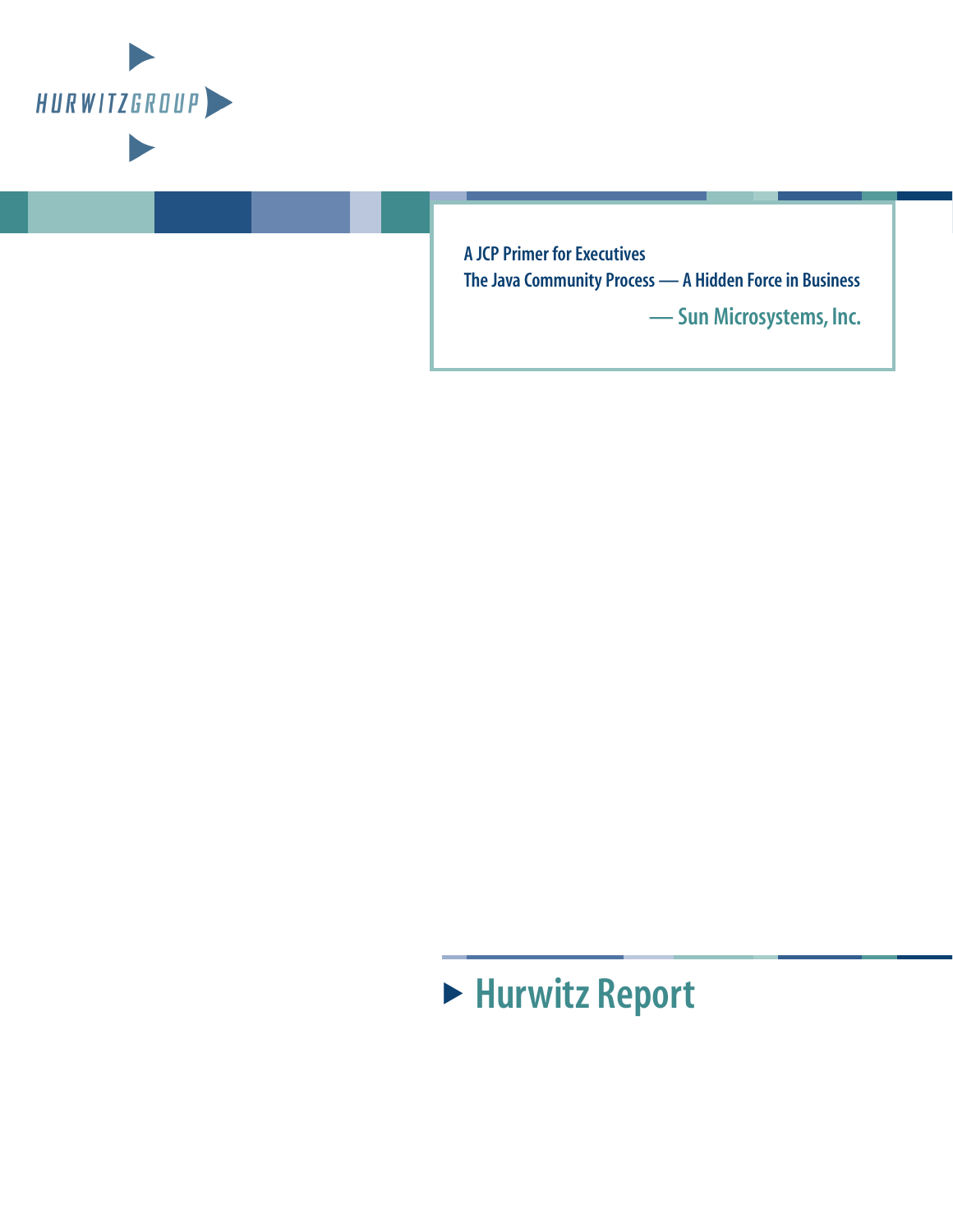

**A JCP Primer for Executives The Java Community Process — A Hidden Force in Business**

**— Sun Microsystems, Inc.**

# ! **Hurwitz Report**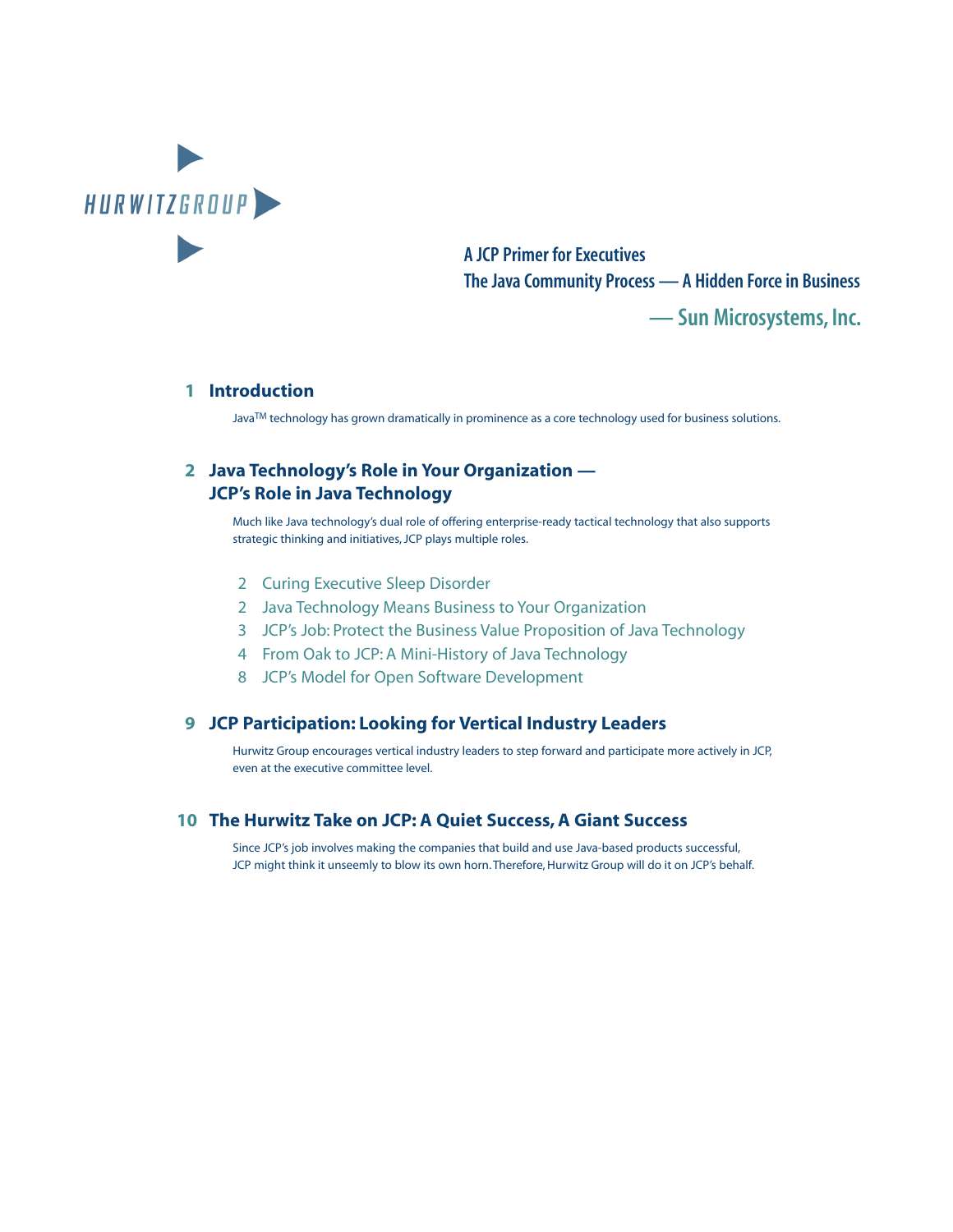

**A JCP Primer for Executives The Java Community Process — A Hidden Force in Business**

**— Sun Microsystems, Inc.**

#### **1 [Introduction](#page-3-0)**

JavaTM technology has grown dramatically in prominence as a core technology used for business solutions.

#### **2 [Java Technology's Role in Your Organization —](#page-4-0)  JCP's Role in Java Technology**

Much like Java technology's dual role of offering enterprise-ready tactical technology that also supports strategic thinking and initiatives, JCP plays multiple roles.

- [2 Curing Executive Sleep Disorder](#page-4-0)
- [2 Java Technology Means Business to Your Organization](#page-4-0)
- [3 JCP's Job: Protect the Business Value Proposition of Java Technology](#page-5-0)
- [4 From Oak to JCP: A Mini-History of Java Technology](#page-6-0)
- [8 JCP's Model for Open Software Development](#page-10-0)

#### **9 [JCP Participation: Looking for Vertical Industry Leaders](#page-11-0)**

Hurwitz Group encourages vertical industry leaders to step forward and participate more actively in JCP, even at the executive committee level.

#### **10 [The Hurwitz Take on JCP: A Quiet Success, A Giant Success](#page-12-0)**

Since JCP's job involves making the companies that build and use Java-based products successful, JCP might think it unseemly to blow its own horn. Therefore, Hurwitz Group will do it on JCP's behalf.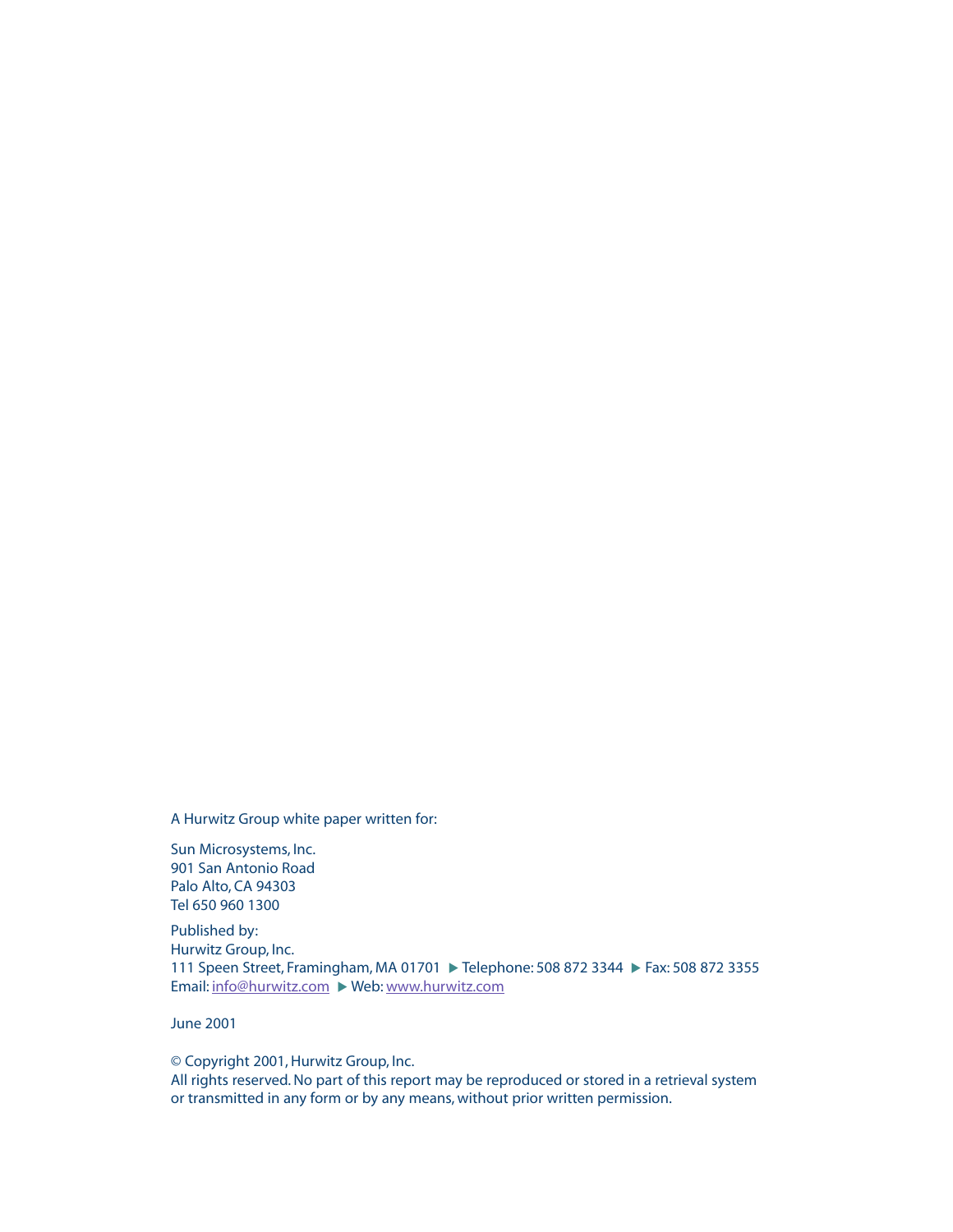A Hurwitz Group white paper written for:

Sun Microsystems, Inc. 901 San Antonio Road Palo Alto, CA 94303 Tel 650 960 1300

Published by: Hurwitz Group, Inc. 111 Speen Street, Framingham, MA 01701 ▶ Telephone: 508 872 3344 ▶ Fax: 508 872 3355 Email: [info@hurwitz.com](mailto:info@hurwitz.com) ▶ Web: [www.hurwitz.com](http://www.hurwitz.com)

June 2001

© Copyright 2001, Hurwitz Group, Inc. All rights reserved. No part of this report may be reproduced or stored in a retrieval system or transmitted in any form or by any means, without prior written permission.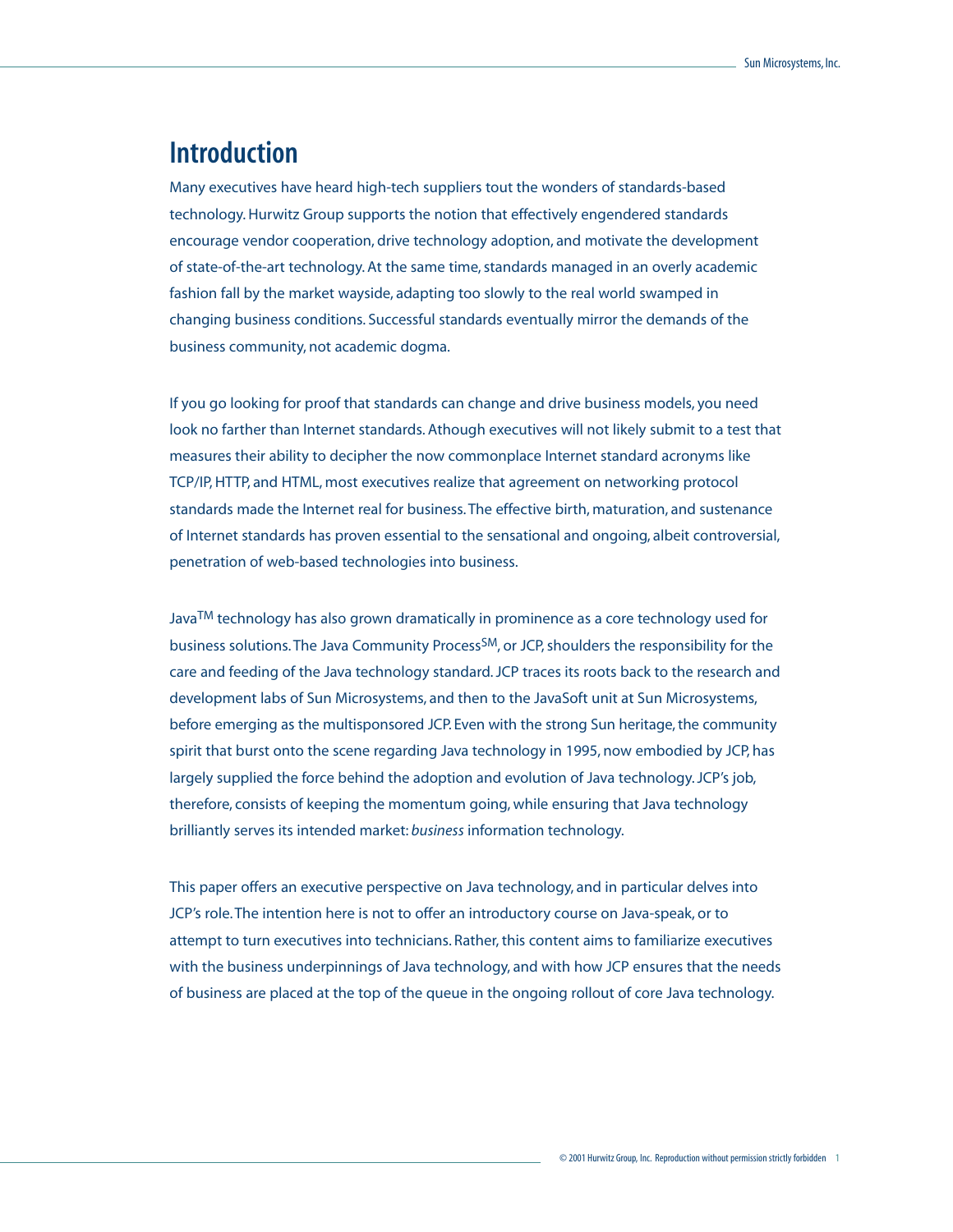# <span id="page-3-0"></span>**Introduction**

Many executives have heard high-tech suppliers tout the wonders of standards-based technology. Hurwitz Group supports the notion that effectively engendered standards encourage vendor cooperation, drive technology adoption, and motivate the development of state-of-the-art technology. At the same time, standards managed in an overly academic fashion fall by the market wayside, adapting too slowly to the real world swamped in changing business conditions. Successful standards eventually mirror the demands of the business community, not academic dogma.

If you go looking for proof that standards can change and drive business models, you need look no farther than Internet standards. Athough executives will not likely submit to a test that measures their ability to decipher the now commonplace Internet standard acronyms like TCP/IP, HTTP, and HTML, most executives realize that agreement on networking protocol standards made the Internet real for business. The effective birth, maturation, and sustenance of Internet standards has proven essential to the sensational and ongoing, albeit controversial, penetration of web-based technologies into business.

Java<sup>TM</sup> technology has also grown dramatically in prominence as a core technology used for business solutions. The Java Community Process<sup>SM</sup>, or JCP, shoulders the responsibility for the care and feeding of the Java technology standard. JCP traces its roots back to the research and development labs of Sun Microsystems, and then to the JavaSoft unit at Sun Microsystems, before emerging as the multisponsored JCP. Even with the strong Sun heritage, the community spirit that burst onto the scene regarding Java technology in 1995, now embodied by JCP, has largely supplied the force behind the adoption and evolution of Java technology. JCP's job, therefore, consists of keeping the momentum going, while ensuring that Java technology brilliantly serves its intended market: *business* information technology.

This paper offers an executive perspective on Java technology, and in particular delves into JCP's role. The intention here is not to offer an introductory course on Java-speak, or to attempt to turn executives into technicians. Rather, this content aims to familiarize executives with the business underpinnings of Java technology, and with how JCP ensures that the needs of business are placed at the top of the queue in the ongoing rollout of core Java technology.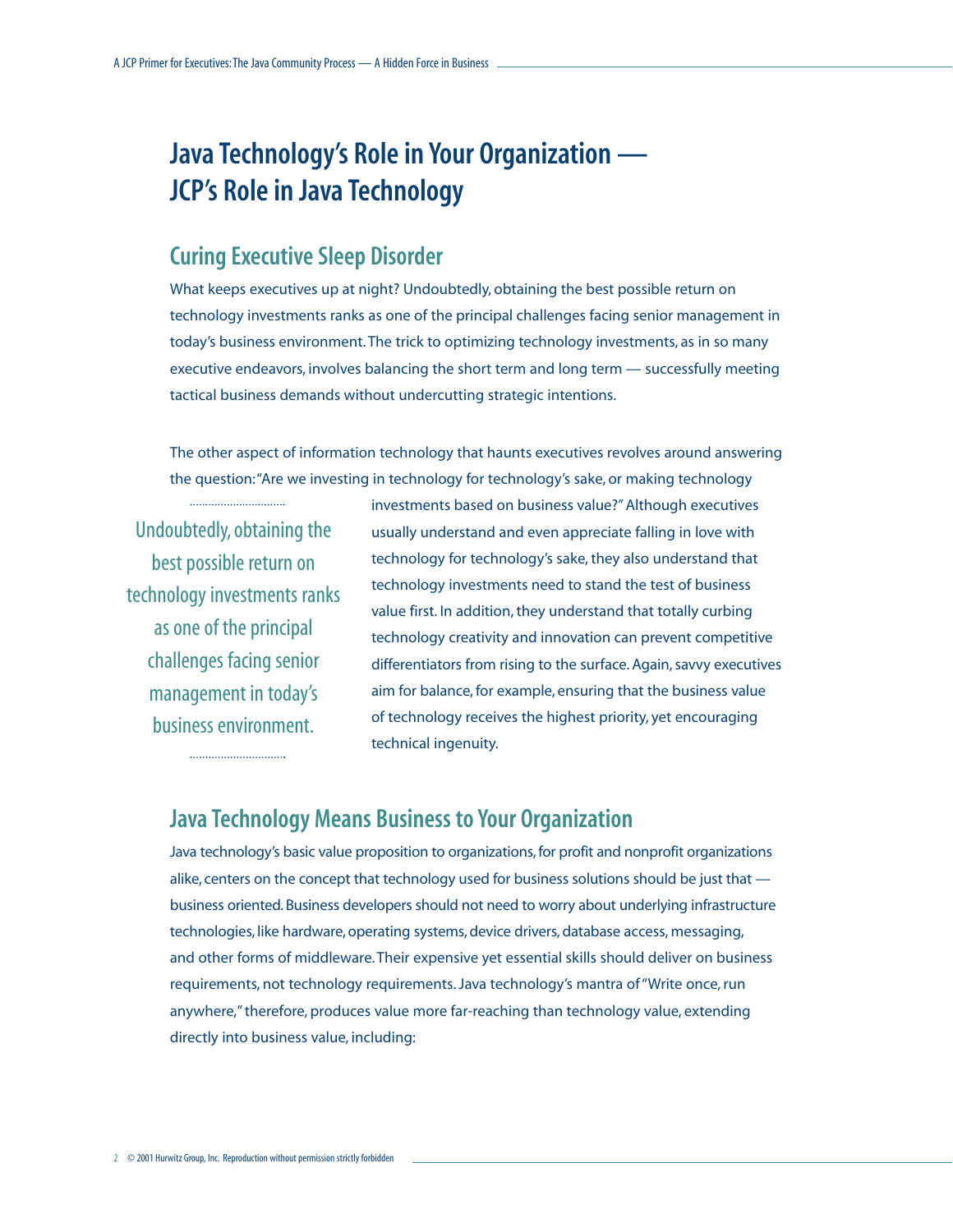# <span id="page-4-0"></span>**Java Technology's Role in Your Organization — JCP's Role in Java Technology**

# **Curing Executive Sleep Disorder**

What keeps executives up at night? Undoubtedly, obtaining the best possible return on technology investments ranks as one of the principal challenges facing senior management in today's business environment. The trick to optimizing technology investments, as in so many executive endeavors, involves balancing the short term and long term — successfully meeting tactical business demands without undercutting strategic intentions.

The other aspect of information technology that haunts executives revolves around answering the question:"Are we investing in technology for technology's sake, or making technology

Undoubtedly, obtaining the best possible return on technology investments ranks as one of the principal challenges facing senior management in today's business environment.

investments based on business value?" Although executives usually understand and even appreciate falling in love with technology for technology's sake, they also understand that technology investments need to stand the test of business value first. In addition, they understand that totally curbing technology creativity and innovation can prevent competitive differentiators from rising to the surface. Again, savvy executives aim for balance, for example, ensuring that the business value of technology receives the highest priority, yet encouraging technical ingenuity.

## **Java Technology Means Business to Your Organization**

Java technology's basic value proposition to organizations, for profit and nonprofit organizations alike, centers on the concept that technology used for business solutions should be just that business oriented. Business developers should not need to worry about underlying infrastructure technologies, like hardware, operating systems, device drivers, database access, messaging, and other forms of middleware. Their expensive yet essential skills should deliver on business requirements, not technology requirements. Java technology's mantra of "Write once, run anywhere," therefore, produces value more far-reaching than technology value, extending directly into business value, including: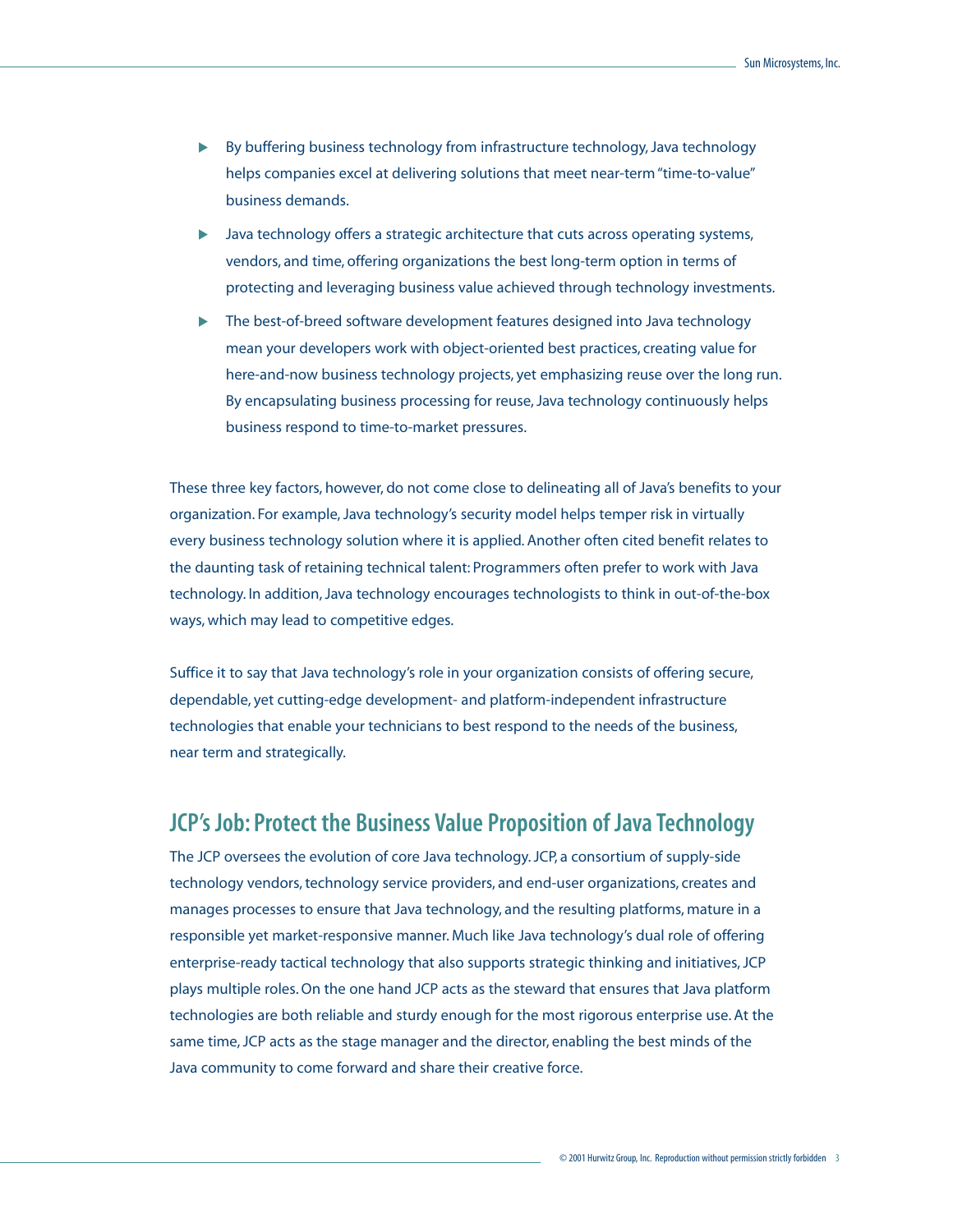- <span id="page-5-0"></span>! By buffering business technology from infrastructure technology, Java technology helps companies excel at delivering solutions that meet near-term "time-to-value" business demands.
- ! Java technology offers a strategic architecture that cuts across operating systems, vendors, and time, offering organizations the best long-term option in terms of protecting and leveraging business value achieved through technology investments.
- ! The best-of-breed software development features designed into Java technology mean your developers work with object-oriented best practices, creating value for here-and-now business technology projects, yet emphasizing reuse over the long run. By encapsulating business processing for reuse, Java technology continuously helps business respond to time-to-market pressures.

These three key factors, however, do not come close to delineating all of Java's benefits to your organization. For example, Java technology's security model helps temper risk in virtually every business technology solution where it is applied. Another often cited benefit relates to the daunting task of retaining technical talent: Programmers often prefer to work with Java technology. In addition, Java technology encourages technologists to think in out-of-the-box ways, which may lead to competitive edges.

Suffice it to say that Java technology's role in your organization consists of offering secure, dependable, yet cutting-edge development- and platform-independent infrastructure technologies that enable your technicians to best respond to the needs of the business, near term and strategically.

# **JCP's Job: Protect the Business Value Proposition of Java Technology**

The JCP oversees the evolution of core Java technology. JCP, a consortium of supply-side technology vendors, technology service providers, and end-user organizations, creates and manages processes to ensure that Java technology, and the resulting platforms, mature in a responsible yet market-responsive manner. Much like Java technology's dual role of offering enterprise-ready tactical technology that also supports strategic thinking and initiatives, JCP plays multiple roles. On the one hand JCP acts as the steward that ensures that Java platform technologies are both reliable and sturdy enough for the most rigorous enterprise use. At the same time, JCP acts as the stage manager and the director, enabling the best minds of the Java community to come forward and share their creative force.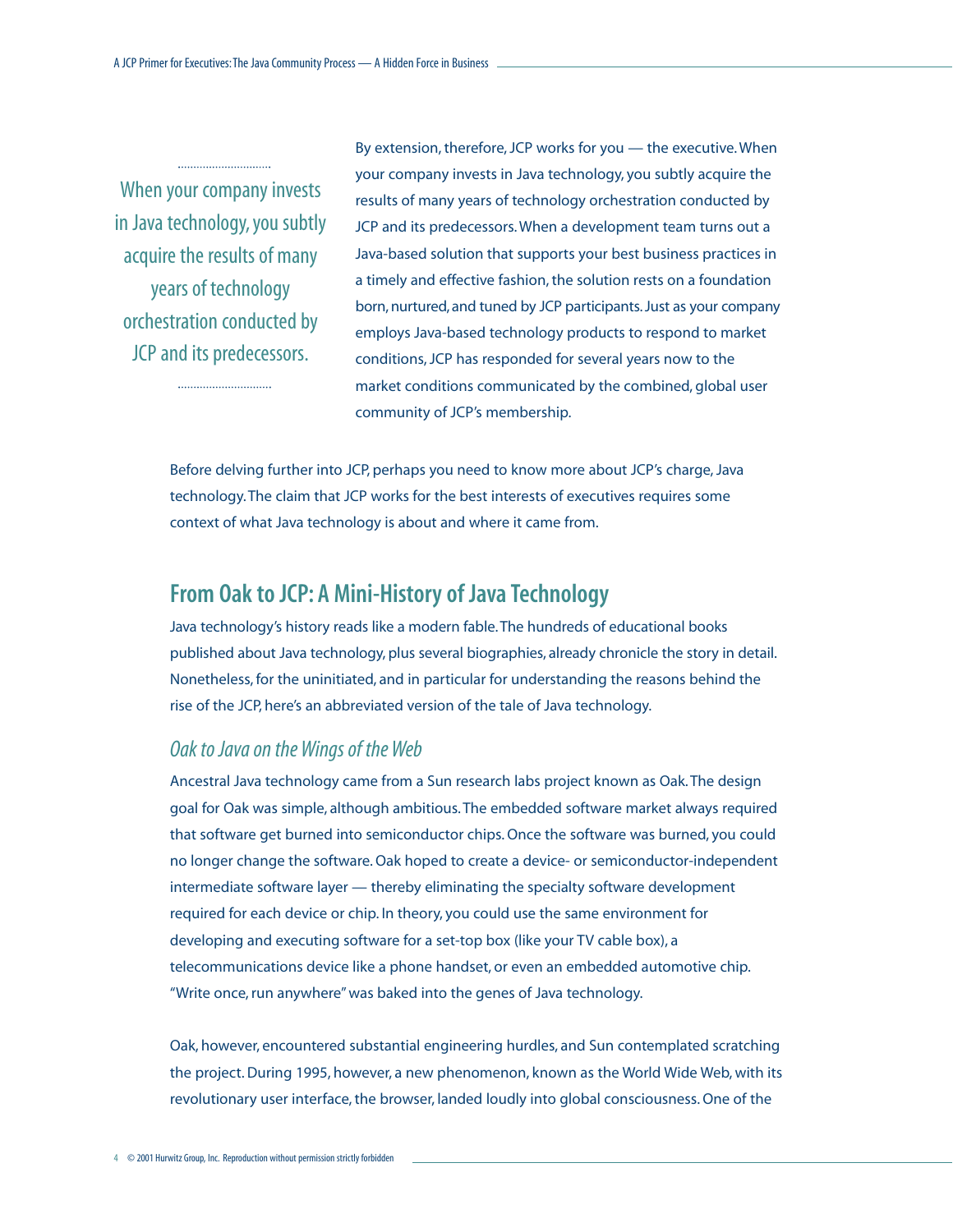<span id="page-6-0"></span>When your company invests in Java technology, you subtly acquire the results of many years of technology orchestration conducted by JCP and its predecessors.

By extension, therefore, JCP works for you — the executive. When your company invests in Java technology, you subtly acquire the results of many years of technology orchestration conducted by JCP and its predecessors. When a development team turns out a Java-based solution that supports your best business practices in a timely and effective fashion, the solution rests on a foundation born, nurtured, and tuned by JCP participants. Just as your company employs Java-based technology products to respond to market conditions, JCP has responded for several years now to the market conditions communicated by the combined, global user community of JCP's membership.

Before delving further into JCP, perhaps you need to know more about JCP's charge, Java technology. The claim that JCP works for the best interests of executives requires some context of what Java technology is about and where it came from.

## **From Oak to JCP: A Mini-History of Java Technology**

Java technology's history reads like a modern fable. The hundreds of educational books published about Java technology, plus several biographies, already chronicle the story in detail. Nonetheless, for the uninitiated, and in particular for understanding the reasons behind the rise of the JCP, here's an abbreviated version of the tale of Java technology.

#### *Oak to Java on the Wings of the Web*

Ancestral Java technology came from a Sun research labs project known as Oak. The design goal for Oak was simple, although ambitious. The embedded software market always required that software get burned into semiconductor chips. Once the software was burned, you could no longer change the software. Oak hoped to create a device- or semiconductor-independent intermediate software layer — thereby eliminating the specialty software development required for each device or chip. In theory, you could use the same environment for developing and executing software for a set-top box (like your TV cable box), a telecommunications device like a phone handset, or even an embedded automotive chip. "Write once, run anywhere" was baked into the genes of Java technology.

Oak, however, encountered substantial engineering hurdles, and Sun contemplated scratching the project. During 1995, however, a new phenomenon, known as the World Wide Web, with its revolutionary user interface, the browser, landed loudly into global consciousness. One of the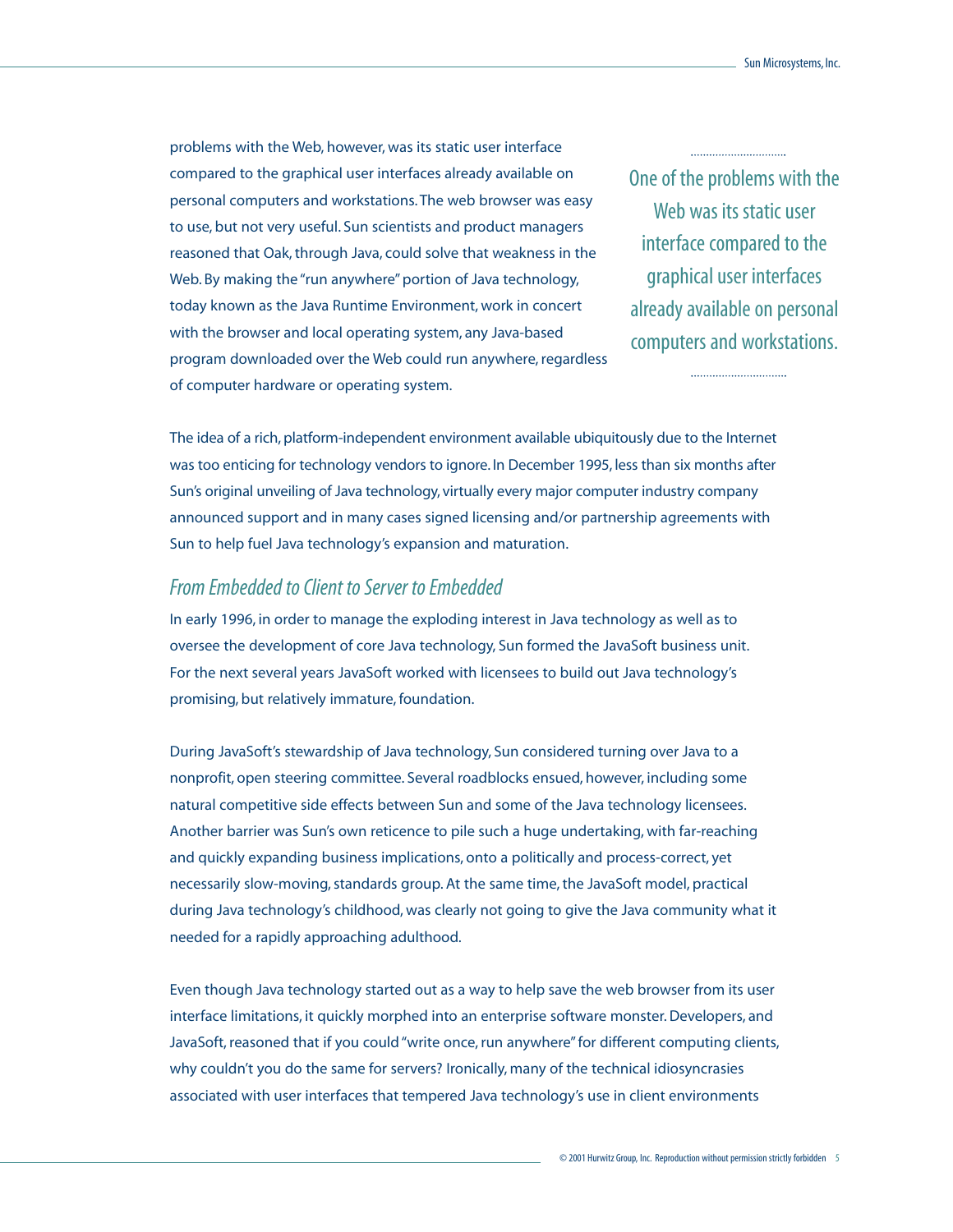problems with the Web, however, was its static user interface compared to the graphical user interfaces already available on personal computers and workstations. The web browser was easy to use, but not very useful. Sun scientists and product managers reasoned that Oak, through Java, could solve that weakness in the Web. By making the "run anywhere" portion of Java technology, today known as the Java Runtime Environment, work in concert with the browser and local operating system, any Java-based program downloaded over the Web could run anywhere, regardless of computer hardware or operating system.

One of the problems with the Web was its static user interface compared to the graphical user interfaces already available on personal computers and workstations.

The idea of a rich, platform-independent environment available ubiquitously due to the Internet was too enticing for technology vendors to ignore. In December 1995, less than six months after Sun's original unveiling of Java technology, virtually every major computer industry company announced support and in many cases signed licensing and/or partnership agreements with Sun to help fuel Java technology's expansion and maturation.

#### *From Embedded to Client to Server to Embedded*

In early 1996, in order to manage the exploding interest in Java technology as well as to oversee the development of core Java technology, Sun formed the JavaSoft business unit. For the next several years JavaSoft worked with licensees to build out Java technology's promising, but relatively immature, foundation.

During JavaSoft's stewardship of Java technology, Sun considered turning over Java to a nonprofit, open steering committee. Several roadblocks ensued, however, including some natural competitive side effects between Sun and some of the Java technology licensees. Another barrier was Sun's own reticence to pile such a huge undertaking, with far-reaching and quickly expanding business implications, onto a politically and process-correct, yet necessarily slow-moving, standards group. At the same time, the JavaSoft model, practical during Java technology's childhood, was clearly not going to give the Java community what it needed for a rapidly approaching adulthood.

Even though Java technology started out as a way to help save the web browser from its user interface limitations, it quickly morphed into an enterprise software monster. Developers, and JavaSoft, reasoned that if you could "write once, run anywhere" for different computing clients, why couldn't you do the same for servers? Ironically, many of the technical idiosyncrasies associated with user interfaces that tempered Java technology's use in client environments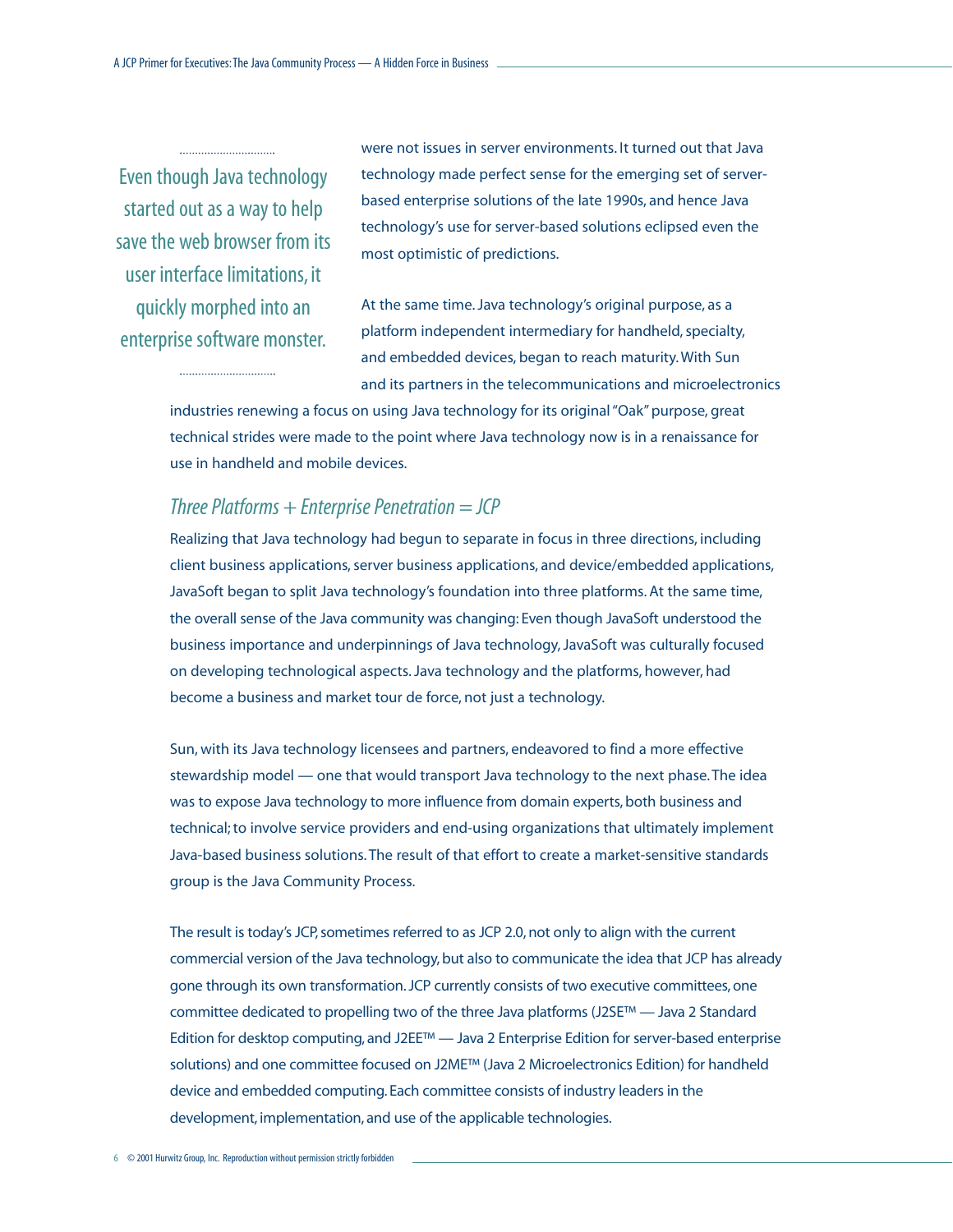Even though Java technology started out as a way to help save the web browser from its user interface limitations, it quickly morphed into an enterprise software monster.

were not issues in server environments. It turned out that Java technology made perfect sense for the emerging set of serverbased enterprise solutions of the late 1990s, and hence Java technology's use for server-based solutions eclipsed even the most optimistic of predictions.

At the same time. Java technology's original purpose, as a platform independent intermediary for handheld, specialty, and embedded devices, began to reach maturity. With Sun and its partners in the telecommunications and microelectronics

industries renewing a focus on using Java technology for its original "Oak" purpose, great technical strides were made to the point where Java technology now is in a renaissance for use in handheld and mobile devices.

#### *Three Platforms + Enterprise Penetration = JCP*

Realizing that Java technology had begun to separate in focus in three directions, including client business applications, server business applications, and device/embedded applications, JavaSoft began to split Java technology's foundation into three platforms. At the same time, the overall sense of the Java community was changing: Even though JavaSoft understood the business importance and underpinnings of Java technology, JavaSoft was culturally focused on developing technological aspects. Java technology and the platforms, however, had become a business and market tour de force, not just a technology.

Sun, with its Java technology licensees and partners, endeavored to find a more effective stewardship model — one that would transport Java technology to the next phase. The idea was to expose Java technology to more influence from domain experts, both business and technical; to involve service providers and end-using organizations that ultimately implement Java-based business solutions. The result of that effort to create a market-sensitive standards group is the Java Community Process.

The result is today's JCP, sometimes referred to as JCP 2.0, not only to align with the current commercial version of the Java technology, but also to communicate the idea that JCP has already gone through its own transformation. JCP currently consists of two executive committees, one committee dedicated to propelling two of the three Java platforms (J2SE™ — Java 2 Standard Edition for desktop computing, and J2EE™ — Java 2 Enterprise Edition for server-based enterprise solutions) and one committee focused on J2ME™ (Java 2 Microelectronics Edition) for handheld device and embedded computing. Each committee consists of industry leaders in the development, implementation, and use of the applicable technologies.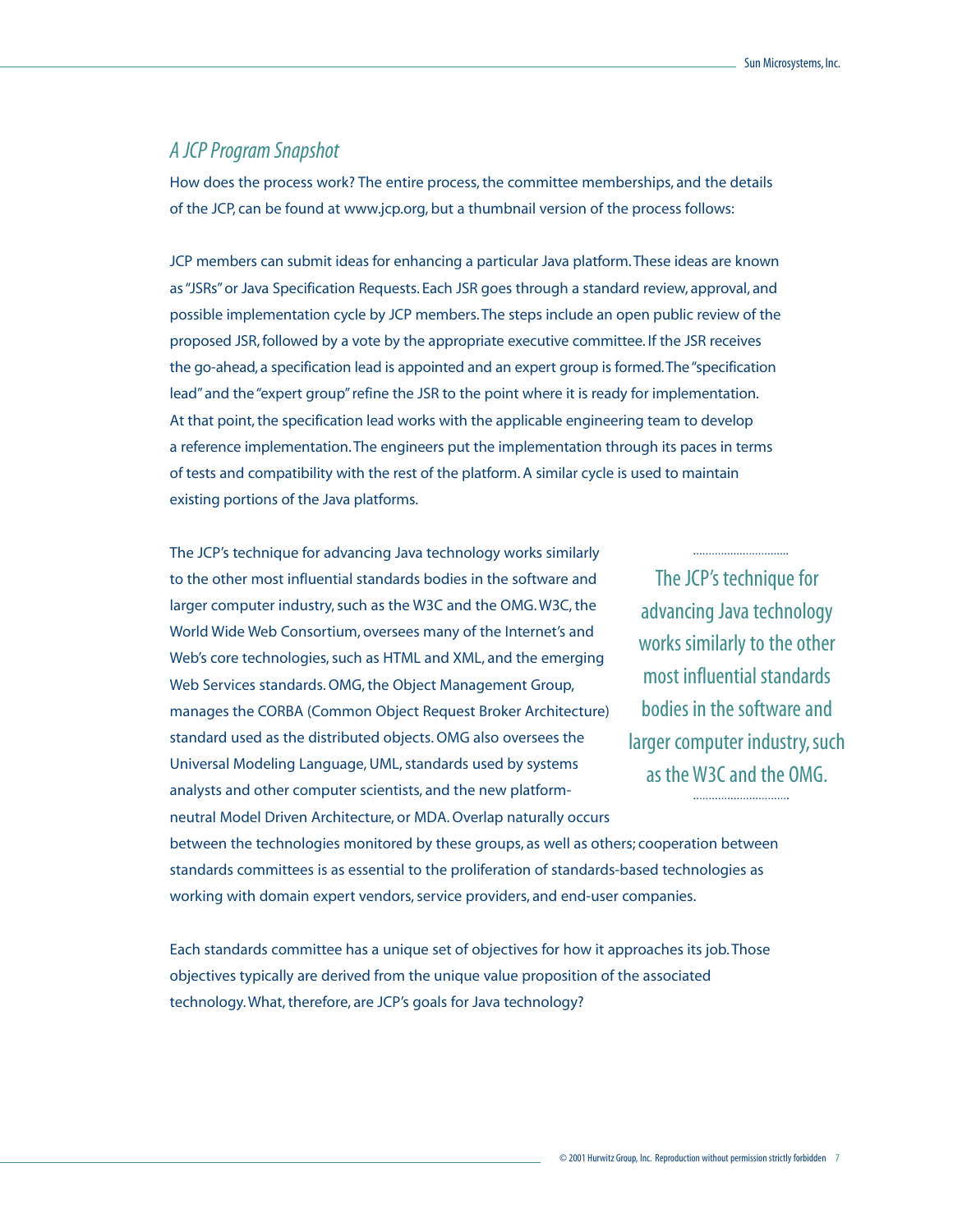#### *A JCP Program Snapshot*

How does the process work? The entire process, the committee memberships, and the details of the JCP, can be found at www.jcp.org, but a thumbnail version of the process follows:

JCP members can submit ideas for enhancing a particular Java platform. These ideas are known as "JSRs" or Java Specification Requests. Each JSR goes through a standard review, approval, and possible implementation cycle by JCP members. The steps include an open public review of the proposed JSR, followed by a vote by the appropriate executive committee. If the JSR receives the go-ahead, a specification lead is appointed and an expert group is formed.The "specification lead" and the "expert group" refine the JSR to the point where it is ready for implementation. At that point, the specification lead works with the applicable engineering team to develop a reference implementation. The engineers put the implementation through its paces in terms of tests and compatibility with the rest of the platform. A similar cycle is used to maintain existing portions of the Java platforms.

The JCP's technique for advancing Java technology works similarly to the other most influential standards bodies in the software and larger computer industry, such as the W3C and the OMG. W3C, the World Wide Web Consortium, oversees many of the Internet's and Web's core technologies, such as HTML and XML, and the emerging Web Services standards. OMG, the Object Management Group, manages the CORBA (Common Object Request Broker Architecture) standard used as the distributed objects. OMG also oversees the Universal Modeling Language, UML, standards used by systems analysts and other computer scientists, and the new platformneutral Model Driven Architecture, or MDA. Overlap naturally occurs

The JCP's technique for advancing Java technology works similarly to the other most influential standards bodies in the software and larger computer industry, such as the W3C and the OMG.

between the technologies monitored by these groups, as well as others; cooperation between standards committees is as essential to the proliferation of standards-based technologies as working with domain expert vendors, service providers, and end-user companies.

Each standards committee has a unique set of objectives for how it approaches its job. Those objectives typically are derived from the unique value proposition of the associated technology. What, therefore, are JCP's goals for Java technology?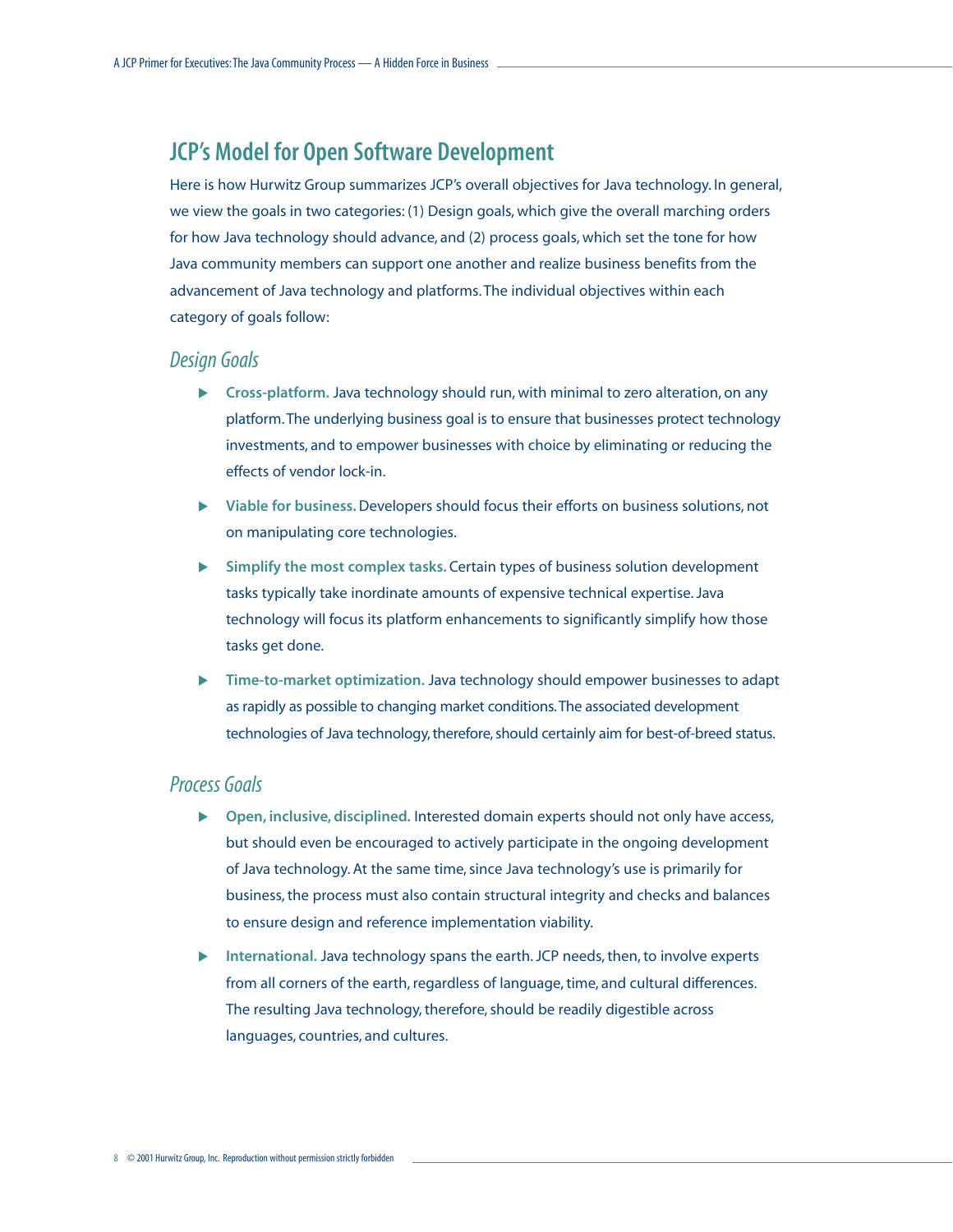# <span id="page-10-0"></span>**JCP's Model for Open Software Development**

Here is how Hurwitz Group summarizes JCP's overall objectives for Java technology. In general, we view the goals in two categories: (1) Design goals, which give the overall marching orders for how Java technology should advance, and (2) process goals, which set the tone for how Java community members can support one another and realize business benefits from the advancement of Java technology and platforms. The individual objectives within each category of goals follow:

#### *Design Goals*

- **Exercise System States Finds** cross-platform. Java technology should run, with minimal to zero alteration, on any platform. The underlying business goal is to ensure that businesses protect technology investments, and to empower businesses with choice by eliminating or reducing the effects of vendor lock-in.
- ! **Viable for business.**Developers should focus their efforts on business solutions, not on manipulating core technologies.
- ! **Simplify the most complex tasks.** Certain types of business solution development tasks typically take inordinate amounts of expensive technical expertise. Java technology will focus its platform enhancements to significantly simplify how those tasks get done.
- ! **Time-to-market optimization.** Java technology should empower businesses to adapt as rapidly as possible to changing market conditions.The associated development technologies of Java technology, therefore, should certainly aim for best-of-breed status.

#### *Process Goals*

- ! **Open, inclusive, disciplined.** Interested domain experts should not only have access, but should even be encouraged to actively participate in the ongoing development of Java technology. At the same time, since Java technology's use is primarily for business, the process must also contain structural integrity and checks and balances to ensure design and reference implementation viability.
- **International.** Java technology spans the earth. JCP needs, then, to involve experts from all corners of the earth, regardless of language, time, and cultural differences. The resulting Java technology, therefore, should be readily digestible across languages, countries, and cultures.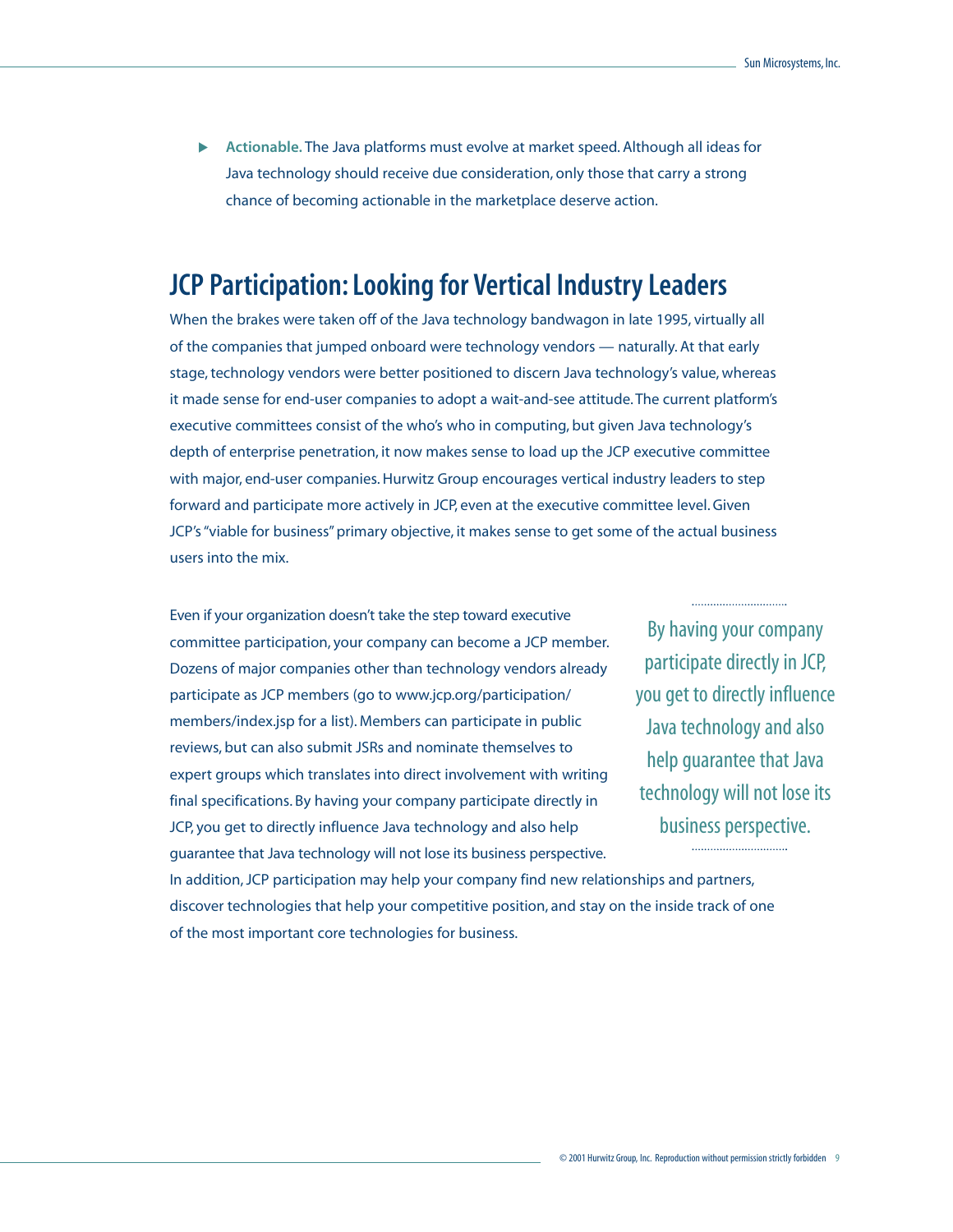<span id="page-11-0"></span>! **Actionable.** The Java platforms must evolve at market speed. Although all ideas for Java technology should receive due consideration, only those that carry a strong chance of becoming actionable in the marketplace deserve action.

# **JCP Participation: Looking for Vertical Industry Leaders**

When the brakes were taken off of the Java technology bandwagon in late 1995, virtually all of the companies that jumped onboard were technology vendors — naturally. At that early stage, technology vendors were better positioned to discern Java technology's value, whereas it made sense for end-user companies to adopt a wait-and-see attitude. The current platform's executive committees consist of the who's who in computing, but given Java technology's depth of enterprise penetration, it now makes sense to load up the JCP executive committee with major, end-user companies. Hurwitz Group encourages vertical industry leaders to step forward and participate more actively in JCP, even at the executive committee level. Given JCP's "viable for business" primary objective, it makes sense to get some of the actual business users into the mix.

Even if your organization doesn't take the step toward executive committee participation, your company can become a JCP member. Dozens of major companies other than technology vendors already participate as JCP members (go to www.jcp.org/participation/ members/index.jsp for a list). Members can participate in public reviews, but can also submit JSRs and nominate themselves to expert groups which translates into direct involvement with writing final specifications. By having your company participate directly in JCP, you get to directly influence Java technology and also help guarantee that Java technology will not lose its business perspective.

By having your company participate directly in JCP, you get to directly influence Java technology and also help guarantee that Java technology will not lose its business perspective.

In addition, JCP participation may help your company find new relationships and partners, discover technologies that help your competitive position, and stay on the inside track of one of the most important core technologies for business.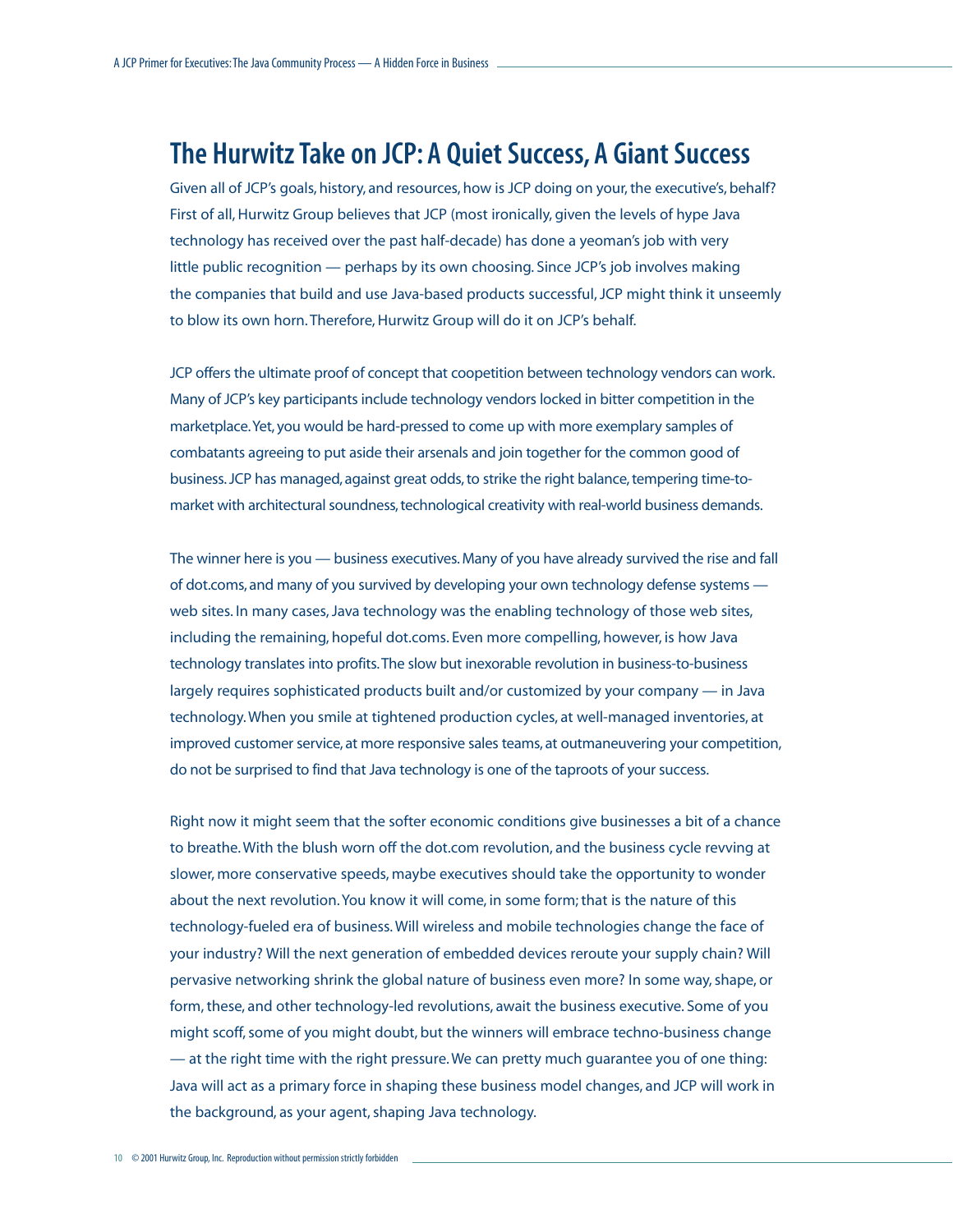# <span id="page-12-0"></span>**The Hurwitz Take on JCP: A Quiet Success, A Giant Success**

Given all of JCP's goals, history, and resources, how is JCP doing on your, the executive's, behalf? First of all, Hurwitz Group believes that JCP (most ironically, given the levels of hype Java technology has received over the past half-decade) has done a yeoman's job with very little public recognition — perhaps by its own choosing. Since JCP's job involves making the companies that build and use Java-based products successful, JCP might think it unseemly to blow its own horn. Therefore, Hurwitz Group will do it on JCP's behalf.

JCP offers the ultimate proof of concept that coopetition between technology vendors can work. Many of JCP's key participants include technology vendors locked in bitter competition in the marketplace.Yet, you would be hard-pressed to come up with more exemplary samples of combatants agreeing to put aside their arsenals and join together for the common good of business. JCP has managed, against great odds, to strike the right balance, tempering time-tomarket with architectural soundness, technological creativity with real-world business demands.

The winner here is you — business executives. Many of you have already survived the rise and fall of dot.coms, and many of you survived by developing your own technology defense systems web sites. In many cases, Java technology was the enabling technology of those web sites, including the remaining, hopeful dot.coms. Even more compelling, however, is how Java technology translates into profits.The slow but inexorable revolution in business-to-business largely requires sophisticated products built and/or customized by your company — in Java technology. When you smile at tightened production cycles, at well-managed inventories, at improved customer service, at more responsive sales teams, at outmaneuvering your competition, do not be surprised to find that Java technology is one of the taproots of your success.

Right now it might seem that the softer economic conditions give businesses a bit of a chance to breathe. With the blush worn off the dot.com revolution, and the business cycle revving at slower, more conservative speeds, maybe executives should take the opportunity to wonder about the next revolution. You know it will come, in some form; that is the nature of this technology-fueled era of business. Will wireless and mobile technologies change the face of your industry? Will the next generation of embedded devices reroute your supply chain? Will pervasive networking shrink the global nature of business even more? In some way, shape, or form, these, and other technology-led revolutions, await the business executive. Some of you might scoff, some of you might doubt, but the winners will embrace techno-business change — at the right time with the right pressure. We can pretty much guarantee you of one thing: Java will act as a primary force in shaping these business model changes, and JCP will work in the background, as your agent, shaping Java technology.